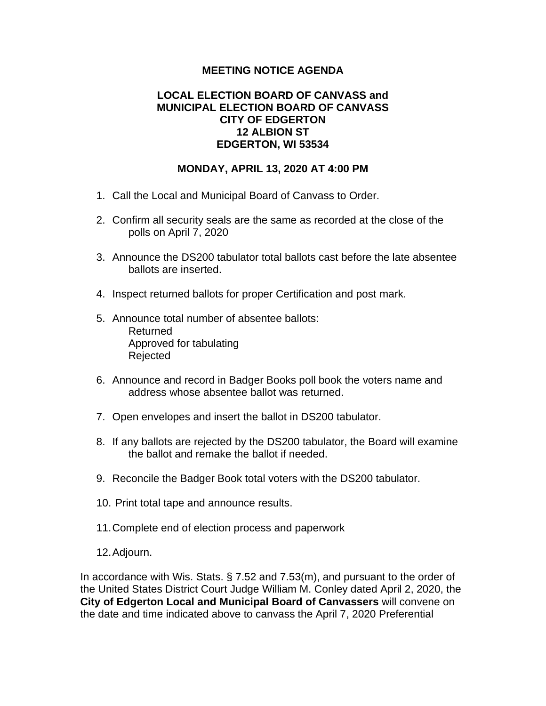## **MEETING NOTICE AGENDA**

## **LOCAL ELECTION BOARD OF CANVASS and MUNICIPAL ELECTION BOARD OF CANVASS CITY OF EDGERTON 12 ALBION ST EDGERTON, WI 53534**

## **MONDAY, APRIL 13, 2020 AT 4:00 PM**

- 1. Call the Local and Municipal Board of Canvass to Order.
- 2. Confirm all security seals are the same as recorded at the close of the polls on April 7, 2020
- 3. Announce the DS200 tabulator total ballots cast before the late absentee ballots are inserted.
- 4. Inspect returned ballots for proper Certification and post mark.
- 5. Announce total number of absentee ballots: Returned Approved for tabulating Rejected
- 6. Announce and record in Badger Books poll book the voters name and address whose absentee ballot was returned.
- 7. Open envelopes and insert the ballot in DS200 tabulator.
- 8. If any ballots are rejected by the DS200 tabulator, the Board will examine the ballot and remake the ballot if needed.
- 9. Reconcile the Badger Book total voters with the DS200 tabulator.
- 10. Print total tape and announce results.
- 11.Complete end of election process and paperwork
- 12.Adjourn.

In accordance with Wis. Stats. § 7.52 and 7.53(m), and pursuant to the order of the United States District Court Judge William M. Conley dated April 2, 2020, the **City of Edgerton Local and Municipal Board of Canvassers** will convene on the date and time indicated above to canvass the April 7, 2020 Preferential